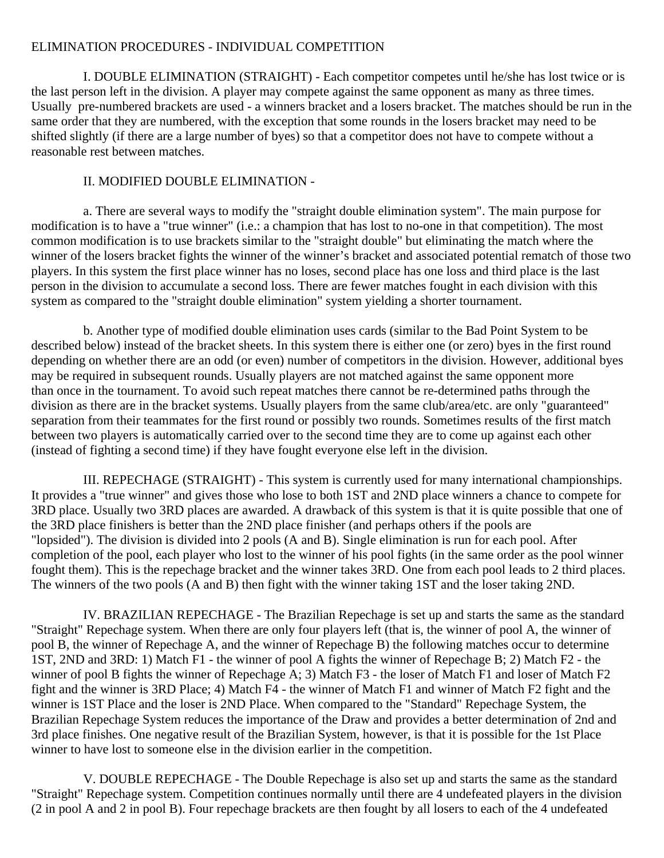#### ELIMINATION PROCEDURES - INDIVIDUAL COMPETITION

 I. DOUBLE ELIMINATION (STRAIGHT) - Each competitor competes until he/she has lost twice or is the last person left in the division. A player may compete against the same opponent as many as three times. Usually pre-numbered brackets are used - a winners bracket and a losers bracket. The matches should be run in the same order that they are numbered, with the exception that some rounds in the losers bracket may need to be shifted slightly (if there are a large number of byes) so that a competitor does not have to compete without a reasonable rest between matches.

### II. MODIFIED DOUBLE ELIMINATION -

 a. There are several ways to modify the "straight double elimination system". The main purpose for modification is to have a "true winner" (i.e.: a champion that has lost to no-one in that competition). The most common modification is to use brackets similar to the "straight double" but eliminating the match where the winner of the losers bracket fights the winner of the winner's bracket and associated potential rematch of those two players. In this system the first place winner has no loses, second place has one loss and third place is the last person in the division to accumulate a second loss. There are fewer matches fought in each division with this system as compared to the "straight double elimination" system yielding a shorter tournament.

 b. Another type of modified double elimination uses cards (similar to the Bad Point System to be described below) instead of the bracket sheets. In this system there is either one (or zero) byes in the first round depending on whether there are an odd (or even) number of competitors in the division. However, additional byes may be required in subsequent rounds. Usually players are not matched against the same opponent more than once in the tournament. To avoid such repeat matches there cannot be re-determined paths through the division as there are in the bracket systems. Usually players from the same club/area/etc. are only "guaranteed" separation from their teammates for the first round or possibly two rounds. Sometimes results of the first match between two players is automatically carried over to the second time they are to come up against each other (instead of fighting a second time) if they have fought everyone else left in the division.

 III. REPECHAGE (STRAIGHT) - This system is currently used for many international championships. It provides a "true winner" and gives those who lose to both 1ST and 2ND place winners a chance to compete for 3RD place. Usually two 3RD places are awarded. A drawback of this system is that it is quite possible that one of the 3RD place finishers is better than the 2ND place finisher (and perhaps others if the pools are "lopsided"). The division is divided into 2 pools (A and B). Single elimination is run for each pool. After completion of the pool, each player who lost to the winner of his pool fights (in the same order as the pool winner fought them). This is the repechage bracket and the winner takes 3RD. One from each pool leads to 2 third places. The winners of the two pools (A and B) then fight with the winner taking 1ST and the loser taking 2ND.

 IV. BRAZILIAN REPECHAGE - The Brazilian Repechage is set up and starts the same as the standard "Straight" Repechage system. When there are only four players left (that is, the winner of pool A, the winner of pool B, the winner of Repechage A, and the winner of Repechage B) the following matches occur to determine 1ST, 2ND and 3RD: 1) Match F1 - the winner of pool A fights the winner of Repechage B; 2) Match F2 - the winner of pool B fights the winner of Repechage A; 3) Match F3 - the loser of Match F1 and loser of Match F2 fight and the winner is 3RD Place; 4) Match F4 - the winner of Match F1 and winner of Match F2 fight and the winner is 1ST Place and the loser is 2ND Place. When compared to the "Standard" Repechage System, the Brazilian Repechage System reduces the importance of the Draw and provides a better determination of 2nd and 3rd place finishes. One negative result of the Brazilian System, however, is that it is possible for the 1st Place winner to have lost to someone else in the division earlier in the competition.

 V. DOUBLE REPECHAGE - The Double Repechage is also set up and starts the same as the standard "Straight" Repechage system. Competition continues normally until there are 4 undefeated players in the division (2 in pool A and 2 in pool B). Four repechage brackets are then fought by all losers to each of the 4 undefeated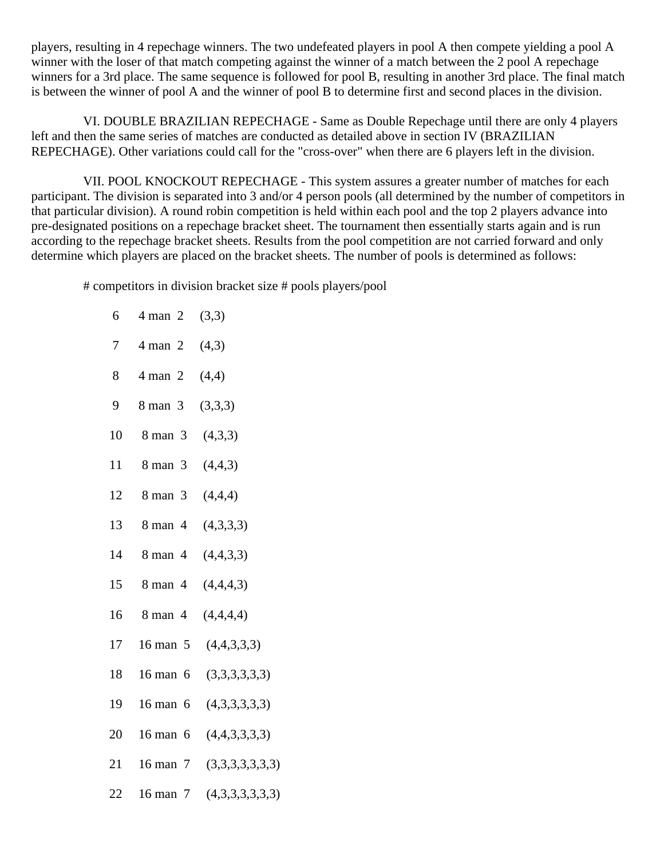players, resulting in 4 repechage winners. The two undefeated players in pool A then compete yielding a pool A winner with the loser of that match competing against the winner of a match between the 2 pool A repechage winners for a 3rd place. The same sequence is followed for pool B, resulting in another 3rd place. The final match is between the winner of pool A and the winner of pool B to determine first and second places in the division.

 VI. DOUBLE BRAZILIAN REPECHAGE - Same as Double Repechage until there are only 4 players left and then the same series of matches are conducted as detailed above in section IV (BRAZILIAN REPECHAGE). Other variations could call for the "cross-over" when there are 6 players left in the division.

 VII. POOL KNOCKOUT REPECHAGE - This system assures a greater number of matches for each participant. The division is separated into 3 and/or 4 person pools (all determined by the number of competitors in that particular division). A round robin competition is held within each pool and the top 2 players advance into pre-designated positions on a repechage bracket sheet. The tournament then essentially starts again and is run according to the repechage bracket sheets. Results from the pool competition are not carried forward and only determine which players are placed on the bracket sheets. The number of pools is determined as follows:

# competitors in division bracket size # pools players/pool

| 6  | $4$ man 2 (3,3)        |                              |
|----|------------------------|------------------------------|
|    | 7 4 man 2 $(4,3)$      |                              |
| 8  | 4 man 2 $(4,4)$        |                              |
|    | 9 8 man 3 $(3,3,3)$    |                              |
|    | 10 8 man 3 $(4,3,3)$   |                              |
|    | 11 8 man 3 $(4,4,3)$   |                              |
|    | 12 8 man 3 $(4,4,4)$   |                              |
|    | 13 8 man 4 $(4,3,3,3)$ |                              |
|    | 14 8 man 4 $(4,4,3,3)$ |                              |
|    | 15 8 man 4 $(4,4,4,3)$ |                              |
|    | 16 8 man 4 $(4,4,4,4)$ |                              |
| 17 |                        | 16 man 5 $(4,4,3,3,3)$       |
| 18 |                        | 16 man 6 $(3,3,3,3,3,3)$     |
| 19 |                        | 16 man 6 $(4,3,3,3,3,3)$     |
| 20 |                        | 16 man 6 $(4,4,3,3,3,3)$     |
| 21 |                        | 16 man $7$ $(3,3,3,3,3,3,3)$ |
| 22 |                        | 16 man 7 $(4,3,3,3,3,3,3)$   |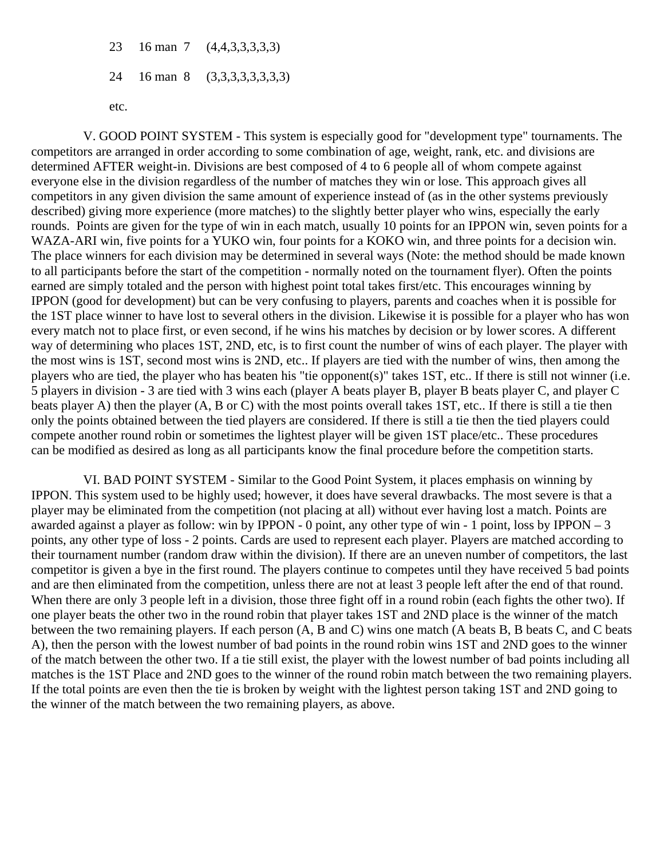23 16 man 7 (4,4,3,3,3,3,3) 24 16 man 8 (3,3,3,3,3,3,3,3)

etc.

 V. GOOD POINT SYSTEM - This system is especially good for "development type" tournaments. The competitors are arranged in order according to some combination of age, weight, rank, etc. and divisions are determined AFTER weight-in. Divisions are best composed of 4 to 6 people all of whom compete against everyone else in the division regardless of the number of matches they win or lose. This approach gives all competitors in any given division the same amount of experience instead of (as in the other systems previously described) giving more experience (more matches) to the slightly better player who wins, especially the early rounds. Points are given for the type of win in each match, usually 10 points for an IPPON win, seven points for a WAZA-ARI win, five points for a YUKO win, four points for a KOKO win, and three points for a decision win. The place winners for each division may be determined in several ways (Note: the method should be made known to all participants before the start of the competition - normally noted on the tournament flyer). Often the points earned are simply totaled and the person with highest point total takes first/etc. This encourages winning by IPPON (good for development) but can be very confusing to players, parents and coaches when it is possible for the 1ST place winner to have lost to several others in the division. Likewise it is possible for a player who has won every match not to place first, or even second, if he wins his matches by decision or by lower scores. A different way of determining who places 1ST, 2ND, etc, is to first count the number of wins of each player. The player with the most wins is 1ST, second most wins is 2ND, etc.. If players are tied with the number of wins, then among the players who are tied, the player who has beaten his "tie opponent(s)" takes 1ST, etc.. If there is still not winner (i.e. 5 players in division - 3 are tied with 3 wins each (player A beats player B, player B beats player C, and player C beats player A) then the player (A, B or C) with the most points overall takes 1ST, etc.. If there is still a tie then only the points obtained between the tied players are considered. If there is still a tie then the tied players could compete another round robin or sometimes the lightest player will be given 1ST place/etc.. These procedures can be modified as desired as long as all participants know the final procedure before the competition starts.

 VI. BAD POINT SYSTEM - Similar to the Good Point System, it places emphasis on winning by IPPON. This system used to be highly used; however, it does have several drawbacks. The most severe is that a player may be eliminated from the competition (not placing at all) without ever having lost a match. Points are awarded against a player as follow: win by IPPON - 0 point, any other type of win - 1 point, loss by IPPON  $-3$ points, any other type of loss - 2 points. Cards are used to represent each player. Players are matched according to their tournament number (random draw within the division). If there are an uneven number of competitors, the last competitor is given a bye in the first round. The players continue to competes until they have received 5 bad points and are then eliminated from the competition, unless there are not at least 3 people left after the end of that round. When there are only 3 people left in a division, those three fight off in a round robin (each fights the other two). If one player beats the other two in the round robin that player takes 1ST and 2ND place is the winner of the match between the two remaining players. If each person (A, B and C) wins one match (A beats B, B beats C, and C beats A), then the person with the lowest number of bad points in the round robin wins 1ST and 2ND goes to the winner of the match between the other two. If a tie still exist, the player with the lowest number of bad points including all matches is the 1ST Place and 2ND goes to the winner of the round robin match between the two remaining players. If the total points are even then the tie is broken by weight with the lightest person taking 1ST and 2ND going to the winner of the match between the two remaining players, as above.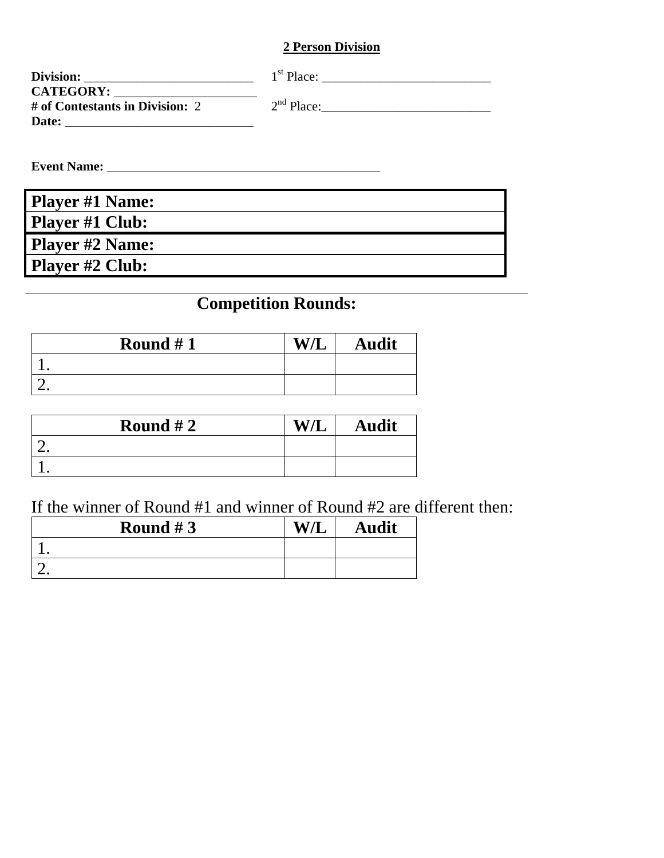## **2 Person Division**

| Division:                       | $1st$ Place: |
|---------------------------------|--------------|
| <b>CATEGORY:</b>                |              |
| # of Contestants in Division: 2 | $2nd$ Place: |
| Date:                           |              |

**Event Name:** \_\_\_\_\_\_\_\_\_\_\_\_\_\_\_\_\_\_\_\_\_\_\_\_\_\_\_\_\_\_\_\_\_\_\_\_\_\_\_\_\_\_

| <b>Player #1 Name:</b> |  |
|------------------------|--|
| <b>Player #1 Club:</b> |  |
| <b>Player #2 Name:</b> |  |
| Player #2 Club:        |  |

# **Competition Rounds:**

| Round $#1$ | ۱A. | <b>Audit</b> |
|------------|-----|--------------|
|            |     |              |
|            |     |              |

| Round $#2$ | W/L | <b>Audit</b> |
|------------|-----|--------------|
|            |     |              |
|            |     |              |

# If the winner of Round #1 and winner of Round #2 are different then:

| Round $#3$ | W/L | <b>Audit</b> |
|------------|-----|--------------|
|            |     |              |
|            |     |              |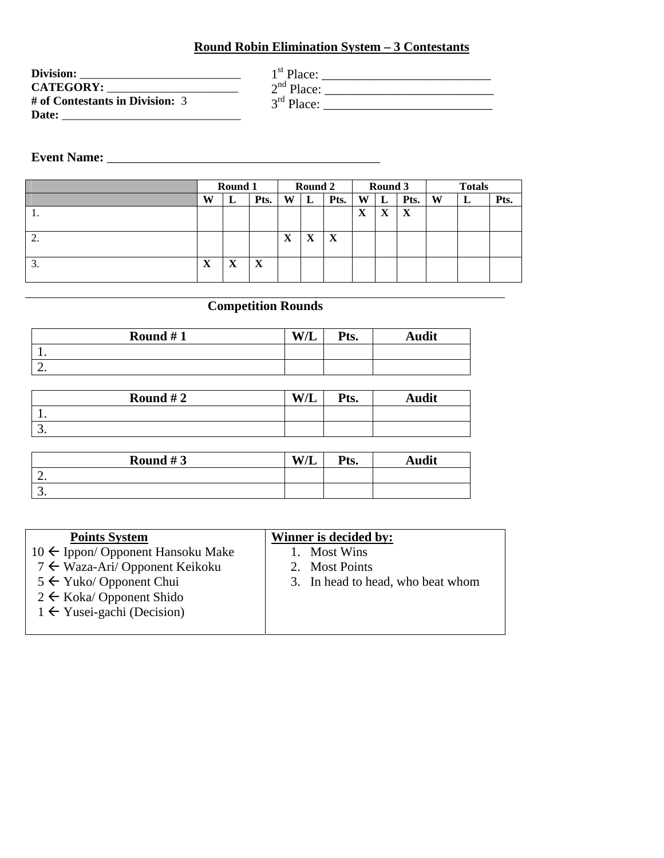#### **Round Robin Elimination System – 3 Contestants**

| Division:                       | $1st$ Place: |  |
|---------------------------------|--------------|--|
| <b>CATEGORY:</b>                | $2nd$ Place: |  |
| # of Contestants in Division: 3 | $3rd$ Place: |  |
| Date:                           |              |  |

# **Event Name:** \_\_\_\_\_\_\_\_\_\_\_\_\_\_\_\_\_\_\_\_\_\_\_\_\_\_\_\_\_\_\_\_\_\_\_\_\_\_\_\_\_\_

|                  |                | Round 1                   |      |                | Round 2                                |             |             | Round 3 |      |   | <b>Totals</b> |      |
|------------------|----------------|---------------------------|------|----------------|----------------------------------------|-------------|-------------|---------|------|---|---------------|------|
|                  | W              | ப                         | Pts. | W              | L                                      | Pts.        | W           | ப       | Pts. | W | L             | Pts. |
| . .              |                |                           |      |                |                                        |             | $\mathbf X$ | X       | X    |   |               |      |
| ۷.               |                |                           |      | w<br>$\Lambda$ | $\mathbf{v}$<br>$\boldsymbol{\Lambda}$ | $\mathbf X$ |             |         |      |   |               |      |
| $\mathfrak{I}$ . | ┳<br>$\Lambda$ | $\mathbf{x}$<br>$\Lambda$ | X    |                |                                        |             |             |         |      |   |               |      |

## **Competition Rounds**

| Round $#1$ | WЛ<br>. ש | Pts. | ⊾udit |
|------------|-----------|------|-------|
| . .        |           |      |       |
| <u>.</u>   |           |      |       |

| Round $#2$ | <b>W/L</b> | Pts. | <b>Audit</b> |
|------------|------------|------|--------------|
| . .        |            |      |              |
| J.         |            |      |              |

| Round $#3$ | <b>W/L</b> | $P_{fc}$<br>1 W. | Audit |
|------------|------------|------------------|-------|
| <u>.</u>   |            |                  |       |
| <u>.</u>   |            |                  |       |

| <b>Points System</b>                         | Winner is decided by:             |
|----------------------------------------------|-----------------------------------|
| $10 \leftarrow$ Ippon/ Opponent Hansoku Make | <b>Most Wins</b><br>L.            |
| 7 ← Waza-Ari/ Opponent Keikoku               | 2. Most Points                    |
| $5 \leftarrow$ Yuko/ Opponent Chui           | 3. In head to head, who beat whom |
| $2 \leftarrow$ Koka/ Opponent Shido          |                                   |
| $1 \leftarrow$ Yusei-gachi (Decision)        |                                   |
|                                              |                                   |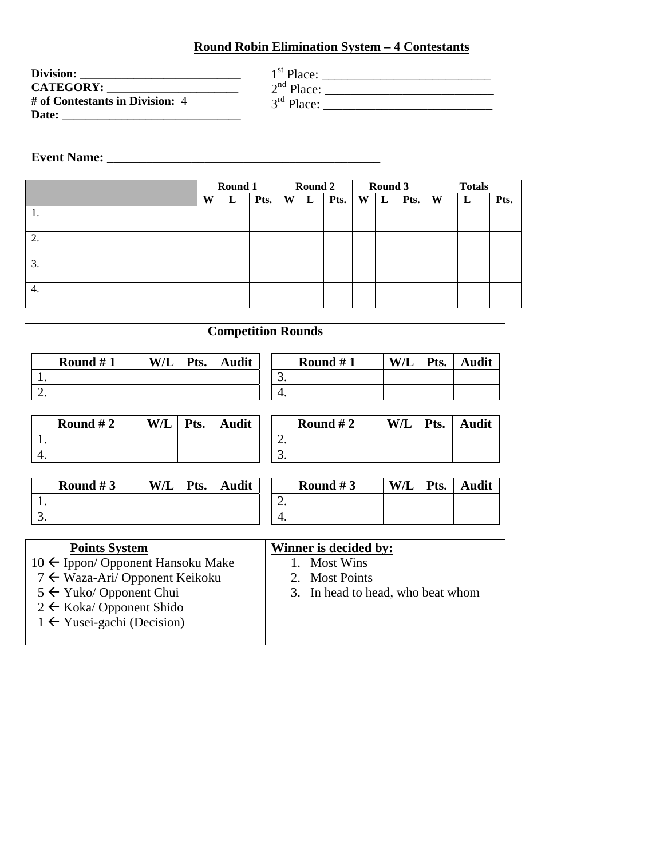## **Round Robin Elimination System – 4 Contestants**

| Division:                       | $1st$ Place: |
|---------------------------------|--------------|
| <b>CATEGORY:</b>                | $2nd$ Place: |
| # of Contestants in Division: 4 | $3rd$ Place: |
| Date:                           |              |

## **Event Name:** \_\_\_\_\_\_\_\_\_\_\_\_\_\_\_\_\_\_\_\_\_\_\_\_\_\_\_\_\_\_\_\_\_\_\_\_\_\_\_\_\_\_

|    | Round 1 |   | Round 2 |   |   |      | Round 3 |   | <b>Totals</b> |   |   |      |
|----|---------|---|---------|---|---|------|---------|---|---------------|---|---|------|
|    | W       | L | Pts.    | W | L | Pts. | W       | L | Pts.          | W | L | Pts. |
|    |         |   |         |   |   |      |         |   |               |   |   |      |
| ാ  |         |   |         |   |   |      |         |   |               |   |   |      |
| 3. |         |   |         |   |   |      |         |   |               |   |   |      |
| 4. |         |   |         |   |   |      |         |   |               |   |   |      |

# **Competition Rounds**

| Round $#1$ | <b>W/L</b> | Pts. | <b>Audit</b> |          | Round $#1$ | W/L | $\mathbf{p}_{\mathbf{fc}}$<br>w. | Audit |
|------------|------------|------|--------------|----------|------------|-----|----------------------------------|-------|
| . .        |            |      |              | <u>.</u> |            |     |                                  |       |
| <u>.</u>   |            |      |              | т.       |            |     |                                  |       |

| Round $#2$ | W/L | $ $ Pts. $ $ | <b>Audit</b> |
|------------|-----|--------------|--------------|
|            |     |              |              |
|            |     |              |              |

| Round $#2$ |  | W/L   Pts.   Audit |
|------------|--|--------------------|
|            |  |                    |
|            |  |                    |

 $\overline{\mathbf{A}}$  **audit** 

| Round $#3$ | <b>W/L</b> | $\mathbf{v}_{\text{ts.}}$ | Audit | Round $#3$ | W/L | <b>Pts</b> |
|------------|------------|---------------------------|-------|------------|-----|------------|
|            |            |                           |       |            |     |            |
|            |            |                           |       |            |     |            |

| <b>Points System</b>                         | Winner is decided by:             |
|----------------------------------------------|-----------------------------------|
| $10 \leftarrow$ Ippon/ Opponent Hansoku Make | 1. Most Wins                      |
| 7 ← Waza-Ari/ Opponent Keikoku               | 2. Most Points                    |
| $5 \leftarrow$ Yuko/ Opponent Chui           | 3. In head to head, who beat whom |
| $2 \leftarrow$ Koka/ Opponent Shido          |                                   |
| $1 \leftarrow$ Yusei-gachi (Decision)        |                                   |
|                                              |                                   |
|                                              |                                   |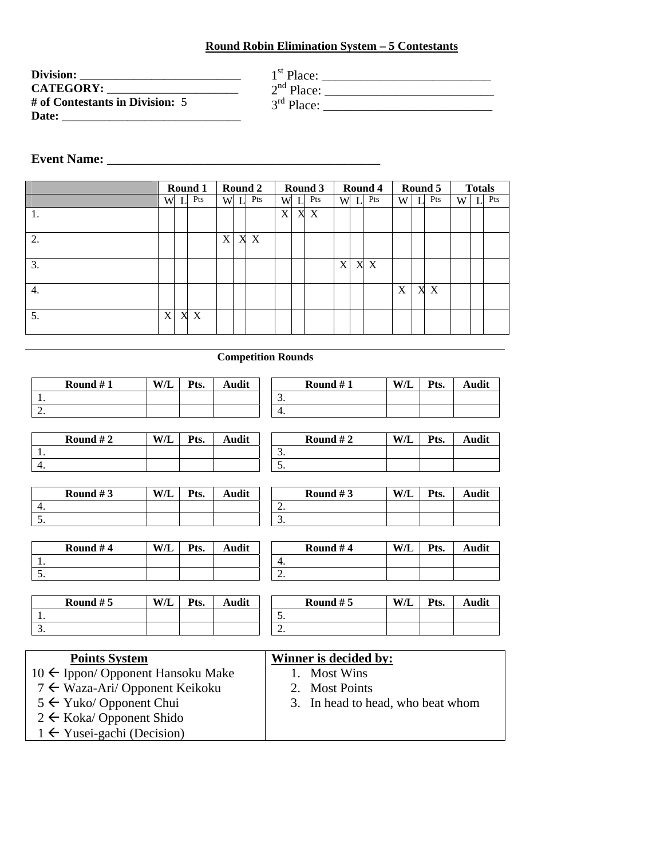#### **Round Robin Elimination System – 5 Contestants**

| Division:                         |
|-----------------------------------|
| <b>CATEGORY:</b>                  |
| # of Contestants in Division: $5$ |
| Date:                             |

| $1st$ Place:           |  |
|------------------------|--|
| $2nd$ Place:           |  |
| 3 <sup>rd</sup> Place: |  |

#### **Event Name:** \_\_\_\_\_\_\_\_\_\_\_\_\_\_\_\_\_\_\_\_\_\_\_\_\_\_\_\_\_\_\_\_\_\_\_\_\_\_\_\_\_\_

1. 5.

|                  |   |   | Round 1 |   |     | Round 2 |   |   | Round 3          |   |   | Round 4 |   |   | Round 5 |   | <b>Totals</b> |     |
|------------------|---|---|---------|---|-----|---------|---|---|------------------|---|---|---------|---|---|---------|---|---------------|-----|
|                  | W |   | Pts     |   | W L | Pts     | W | T | Pts              | W | L | Pts     | W |   | Pts     | W | T I           | Pts |
| 1.               |   |   |         |   |     |         | X | X | $\boldsymbol{X}$ |   |   |         |   |   |         |   |               |     |
| 2.               |   |   |         | X |     | X X     |   |   |                  |   |   |         |   |   |         |   |               |     |
| 3.               |   |   |         |   |     |         |   |   |                  | X |   | X X     |   |   |         |   |               |     |
| $\overline{4}$ . |   |   |         |   |     |         |   |   |                  |   |   |         | X | X | X       |   |               |     |
| 5.               | X | X | X       |   |     |         |   |   |                  |   |   |         |   |   |         |   |               |     |

#### **Competition Rounds**

| Round $#1$ | W/L | Pts. | Audit | Round $#1$ | W/L | Pts. | Audit |
|------------|-----|------|-------|------------|-----|------|-------|
| . .        |     |      |       | <u>.</u>   |     |      |       |
| <u>.</u>   |     |      |       | 4.         |     |      |       |

| Round $#2$ | X/ | Pts. | Audit |
|------------|----|------|-------|
|            |    |      |       |
|            |    |      |       |

|  | Round $#3$ | W/L | Pts. | Audit |
|--|------------|-----|------|-------|
|  |            |     |      |       |
|  |            |     |      |       |
|  |            |     |      |       |

**Round #2** | **W/L** | **Pts.** | **Audit** 

| Round # $3$ | W/L | Pts. | Audit |
|-------------|-----|------|-------|
|             |     |      |       |
|             |     |      |       |

| Round #4 | W/L | Pts. | Audit | Round #4 |          | W/L | Pts. | Audit |
|----------|-----|------|-------|----------|----------|-----|------|-------|
|          |     |      |       |          | ᠇.       |     |      |       |
|          |     |      |       |          | <u>.</u> |     |      |       |

2. 3.

| Round $# 5$ | <b>W/L</b> | $\mathbf{v}_{\text{ts}}$ | Audit | Round $# 5$ | W/L | $\mathbf{v}_{\rm{ts}}$ | Audit |
|-------------|------------|--------------------------|-------|-------------|-----|------------------------|-------|
|             |            |                          |       | <u>.</u>    |     |                        |       |
| <u>.</u>    |            |                          |       | <u>.</u>    |     |                        |       |

| <b>Points System</b>                         | Winner is decided by:             |
|----------------------------------------------|-----------------------------------|
| $10 \leftarrow$ Ippon/ Opponent Hansoku Make | 1. Most Wins                      |
| 7 ← Waza-Ari/ Opponent Keikoku               | 2. Most Points                    |
| $5 \leftarrow$ Yuko/ Opponent Chui           | 3. In head to head, who beat whom |
| $2 \leftarrow$ Koka/ Opponent Shido          |                                   |
| $1 \leftarrow$ Yusei-gachi (Decision)        |                                   |
|                                              |                                   |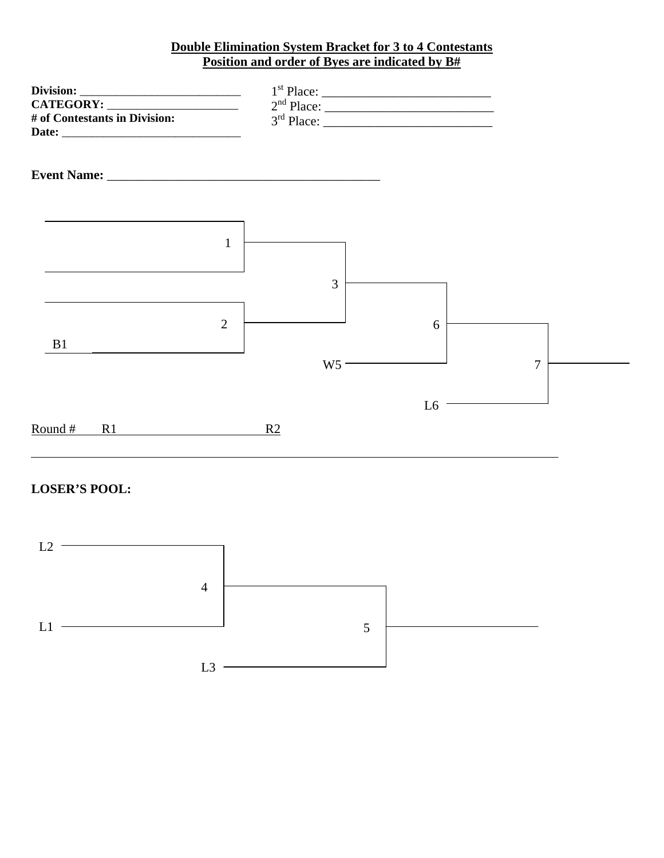#### **Double Elimination System Bracket for 3 to 4 Contestants Position and order of Byes are indicated by B#**



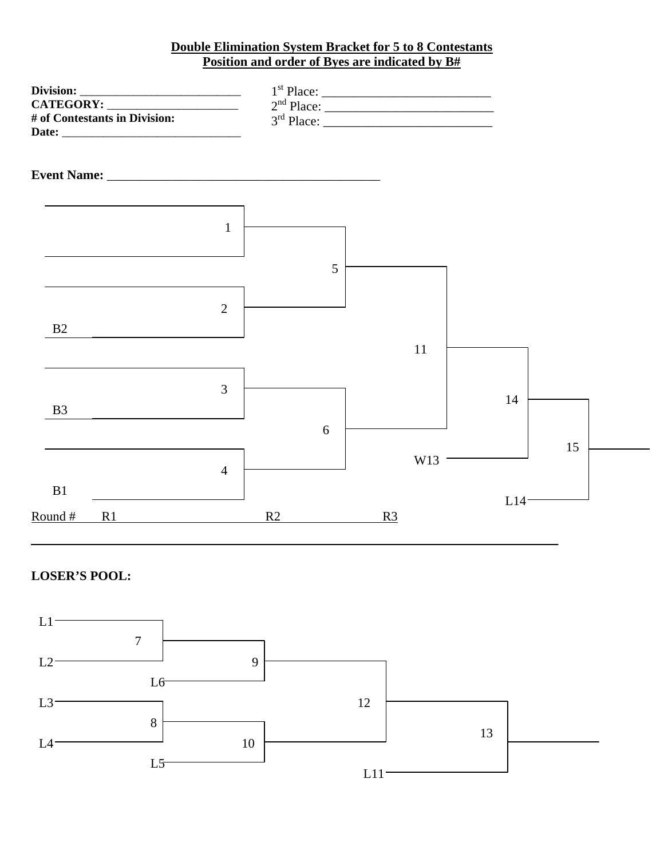#### **Double Elimination System Bracket for 5 to 8 Contestants Position and order of Byes are indicated by B#**



#### **LOSER'S POOL:**

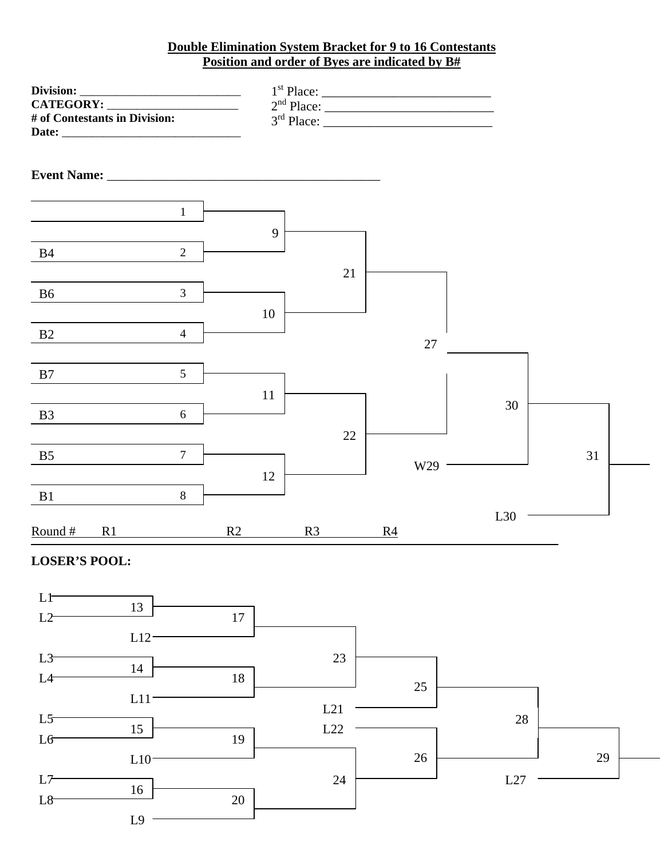#### **Double Elimination System Bracket for 9 to 16 Contestants Position and order of Byes are indicated by B#**

| # of Contestants in Division:    |    |    |    |                |    |     |    |  |
|----------------------------------|----|----|----|----------------|----|-----|----|--|
|                                  |    |    |    |                |    |     |    |  |
|                                  |    |    |    |                |    |     |    |  |
| $\mathbf{1}$                     |    |    |    |                |    |     |    |  |
| $\overline{2}$<br><b>B4</b>      | 9  |    |    |                |    |     |    |  |
|                                  |    |    | 21 |                |    |     |    |  |
| $\mathfrak{Z}$<br>B <sub>6</sub> | 10 |    |    |                |    |     |    |  |
| $\overline{4}$<br>B2             |    |    |    |                | 27 |     |    |  |
| 5<br>B7                          |    |    |    |                |    |     |    |  |
| B <sub>3</sub><br>6              | 11 |    |    |                |    | 30  |    |  |
| $\overline{7}$<br>B <sub>5</sub> |    |    | 22 |                |    |     | 31 |  |
| 8<br>B1                          | 12 |    |    | W29            |    |     |    |  |
| Round#<br>R1                     | R2 | R3 |    | R <sub>4</sub> |    | L30 |    |  |
| <b>LOSER'S POOL:</b>             |    |    |    |                |    |     |    |  |

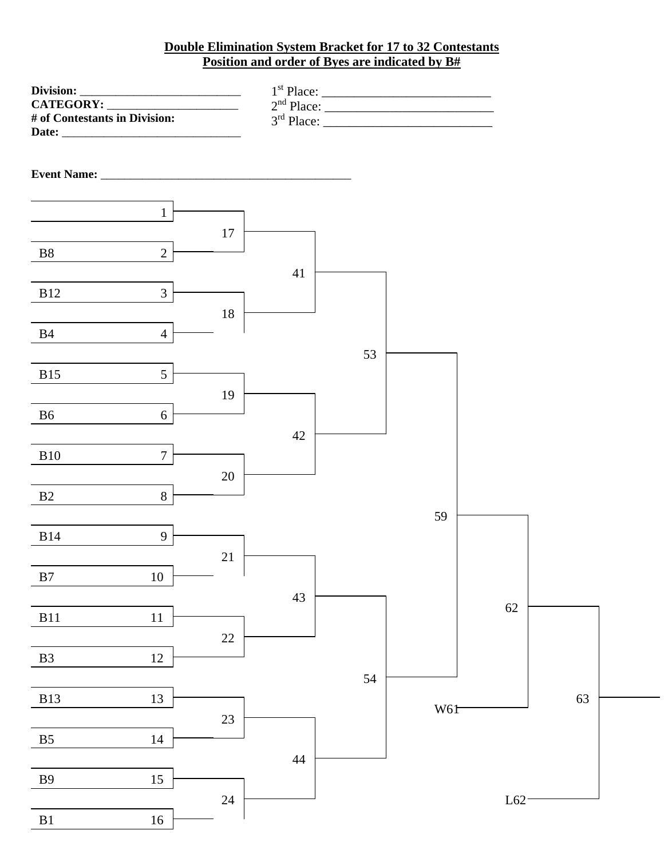#### **Double Elimination System Bracket for 17 to 32 Contestants Position and order of Byes are indicated by B#**

| CATEGORY:<br># of Contestants in Division: |                  |        |        |    |     |        |    |  |
|--------------------------------------------|------------------|--------|--------|----|-----|--------|----|--|
|                                            |                  |        |        |    |     |        |    |  |
|                                            |                  |        |        |    |     |        |    |  |
|                                            | $\mathbf{1}$     |        |        |    |     |        |    |  |
|                                            |                  | $17\,$ |        |    |     |        |    |  |
| ${\bf B8}$                                 | $\overline{2}$   |        | 41     |    |     |        |    |  |
| <b>B12</b>                                 | $\mathfrak{Z}$   |        |        |    |     |        |    |  |
| B4                                         | $\overline{4}$   | $18\,$ |        |    |     |        |    |  |
|                                            |                  |        |        | 53 |     |        |    |  |
| <b>B15</b>                                 | 5                |        |        |    |     |        |    |  |
| B <sub>6</sub>                             | $6\phantom{.}6$  | 19     |        |    |     |        |    |  |
|                                            |                  |        | $42\,$ |    |     |        |    |  |
| <b>B10</b>                                 | $\boldsymbol{7}$ |        |        |    |     |        |    |  |
| B2                                         | $8\,$            | $20\,$ |        |    |     |        |    |  |
|                                            |                  |        |        |    | 59  |        |    |  |
| <b>B14</b>                                 | 9                |        |        |    |     |        |    |  |
| $\mathbf{B}7$                              | 10               | 21     |        |    |     |        |    |  |
|                                            |                  |        | 43     |    |     | 62     |    |  |
| <b>B11</b>                                 | $11\,$           |        |        |    |     |        |    |  |
| $\mathbf{B}3$                              | 12               | $22\,$ |        |    |     |        |    |  |
|                                            |                  |        |        | 54 |     |        |    |  |
| <b>B13</b>                                 | 13               |        |        |    | W61 |        | 63 |  |
| B <sub>5</sub>                             | 14               | $23\,$ |        |    |     |        |    |  |
|                                            |                  |        | 44     |    |     |        |    |  |
| B9                                         | 15               |        |        |    |     |        |    |  |
| $\rm B1$                                   | 16               | $24\,$ |        |    |     | $L62-$ |    |  |
|                                            |                  |        |        |    |     |        |    |  |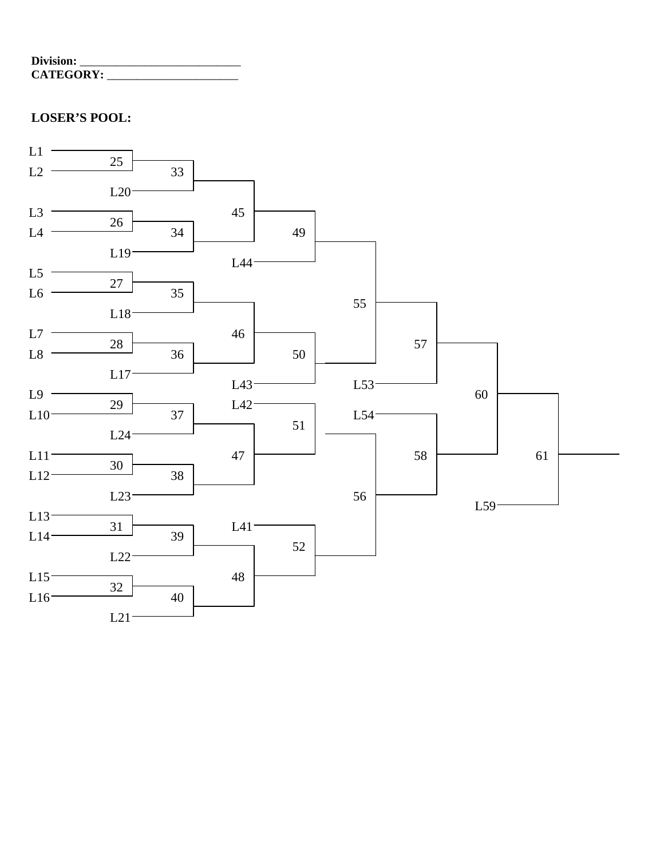| Division:        |  |
|------------------|--|
| <b>CATEGORY:</b> |  |

## **LOSER'S POOL:**

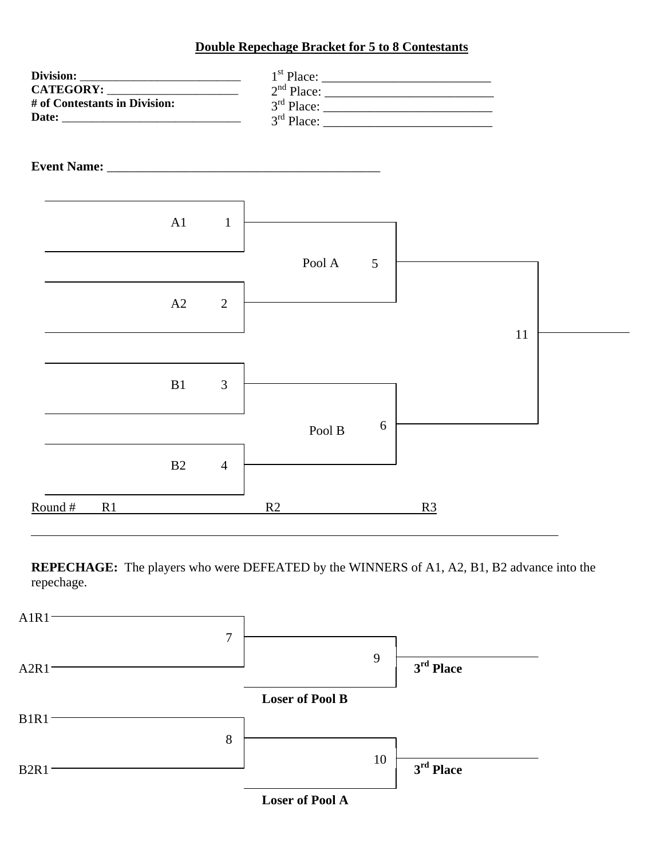#### **Double Repechage Bracket for 5 to 8 Contestants**



**REPECHAGE:** The players who were DEFEATED by the WINNERS of A1, A2, B1, B2 advance into the repechage.



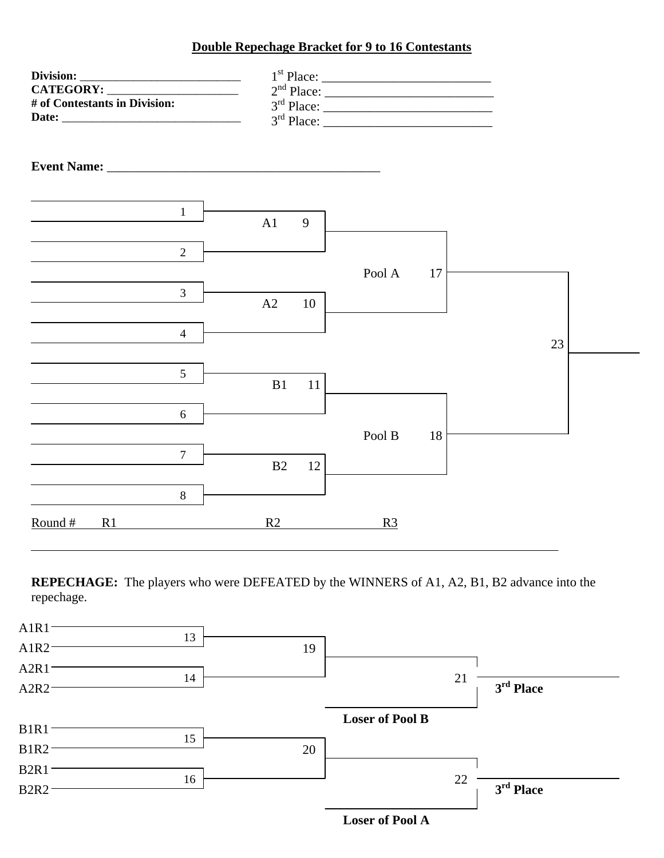#### **Double Repechage Bracket for 9 to 16 Contestants**

| # of Contestants in Division:    |          |                |    |    |  |
|----------------------------------|----------|----------------|----|----|--|
|                                  |          |                |    |    |  |
| $\mathbf{1}$                     | A1<br>9  |                |    |    |  |
| $\overline{2}$<br>$\overline{3}$ |          | Pool A         | 17 |    |  |
| $\overline{4}$                   | A2<br>10 |                |    | 23 |  |
| 5                                | B1<br>11 |                |    |    |  |
| 6<br>$\overline{7}$              |          | Pool B         | 18 |    |  |
| $8\,$                            | B2<br>12 |                |    |    |  |
| Round#<br>R1                     | R2       | R <sub>3</sub> |    |    |  |

**REPECHAGE:** The players who were DEFEATED by the WINNERS of A1, A2, B1, B2 advance into the repechage.

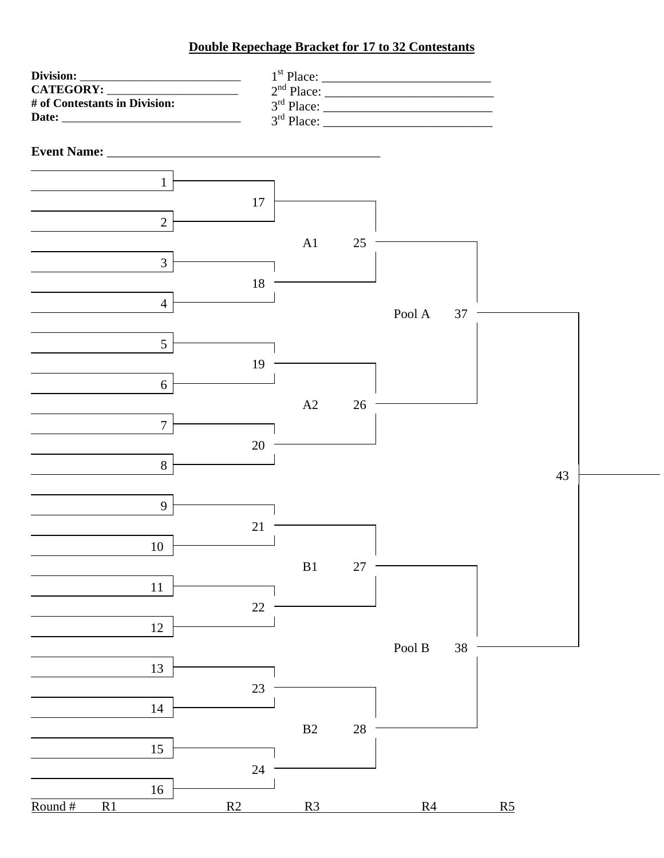### **Double Repechage Bracket for 17 to 32 Contestants**